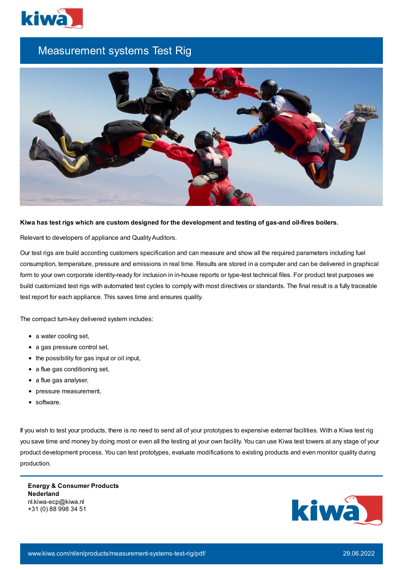

## Measurement systems Test Rig



## Kiwa has test rigs which are custom designed for the development and testing of gas-and oil-fires boilers.

Relevant to developers of appliance and Quality Auditors.

Our test rigs are build according customers specification and can measure and show all the required parameters including fuel consumption, temperature, pressure and emissions in real time. Results are stored in a computer and can be delivered in graphical form to your own corporate identity-ready for inclusion in in-house reports or type-test technical files. For product test purposes we build customized test rigs with automated test cycles to comply with most directives or standards. The final result is a fully traceable test report for each appliance. This saves time and ensures quality.

The compact turn-key delivered system includes:

- a water cooling set,
- a gas pressure control set,
- the possibility for gas input or oil input,
- a flue gas conditioning set,
- a flue gas analyser,
- pressure measurement,
- software.

If you wish to test your products, there is no need to send all of your prototypes to expensive external facilities. With a Kiwa test rig you save time and money by doing most or even all the testing at your own facility. You can use Kiwa test towers at any stage of your product development process. You can test prototypes, evaluate modifications to existing products and even monitor quality during production.

**Energy & Consumer Products Nederland** nl.kiwa-ecp@kiwa.nl +31 (0) 88 998 34 51